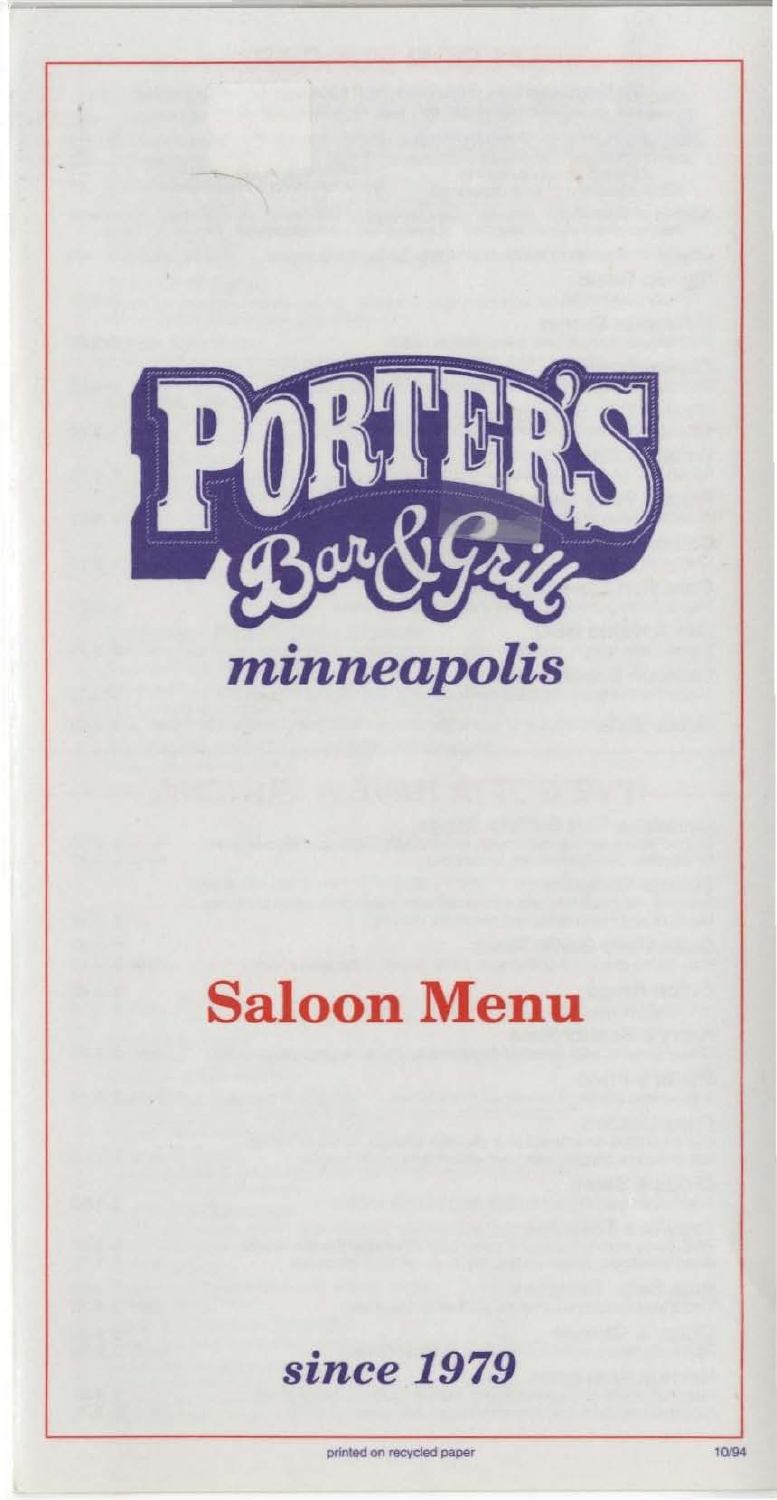

# Saloon Menu

*since 1979* 

printed on recycled paper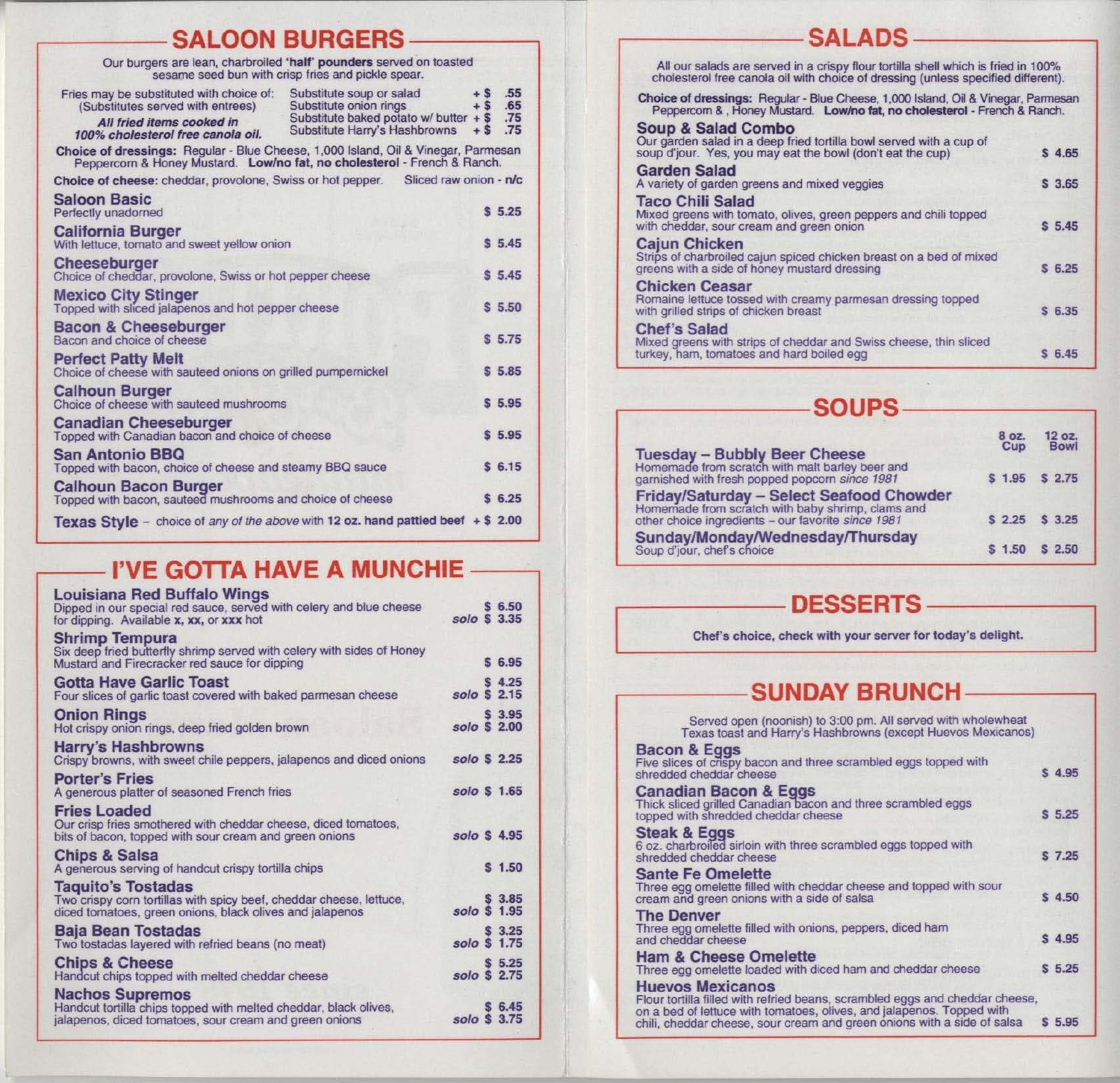### SALOON BURGERS -

|                                                                                                                                                               | Our burgers are lean, charbroiled 'half' pounders served on toasted<br>sesame seed bun with crisp fries and pickle spear.       |                            |                          |
|---------------------------------------------------------------------------------------------------------------------------------------------------------------|---------------------------------------------------------------------------------------------------------------------------------|----------------------------|--------------------------|
| Fries may be substituted with choice of:<br>(Substitutes served with entrees)<br>All fried items cooked in<br>100% cholesterol free canola oil.               | Substitute soup or salad<br>Substitute onion rings<br>Substitute baked potato w/ butter $+$ \$<br>Substitute Harry's Hashbrowns | $+$ \$<br>$+$ \$<br>$+$ \$ | .55<br>.65<br>.75<br>.75 |
| Choice of dressings: Regular - Blue Cheese, 1,000 Island, Oil & Vinegar, Parmesan<br>Peppercorn & Honey Mustard. Low/no fat, no cholesterol - French & Ranch. |                                                                                                                                 |                            |                          |
| Choice of cheese: cheddar, provolone, Swiss or hot pepper.                                                                                                    | Sliced raw onion - n/c                                                                                                          |                            |                          |
| <b>Saloon Basic</b><br>Perfectly unadorned                                                                                                                    |                                                                                                                                 |                            | \$5.25                   |
| <b>California Burger</b><br>With lettuce, tomato and sweet yellow onion                                                                                       |                                                                                                                                 |                            | \$5.45                   |
| Cheeseburger<br>Choice of cheddar, provolone, Swiss or hot pepper cheese                                                                                      |                                                                                                                                 |                            | \$5.45                   |
| <b>Mexico City Stinger</b><br>Topped with sliced jalapenos and hot pepper cheese                                                                              |                                                                                                                                 |                            | \$5,50                   |
| <b>Bacon &amp; Cheeseburger</b><br>Bacon and choice of cheese                                                                                                 |                                                                                                                                 |                            | \$5.75                   |
| <b>Perfect Patty Melt</b><br>Choice of cheese with sauteed onions on grilled pumpernickel                                                                     |                                                                                                                                 |                            | \$5.85                   |
| <b>Calhoun Burger</b><br>Choice of cheese with sauteed mushrooms                                                                                              |                                                                                                                                 |                            | \$5.95                   |
| <b>Canadian Cheeseburger</b><br>Topped with Canadian bacon and choice of cheese                                                                               |                                                                                                                                 |                            | \$5.95                   |
| <b>San Antonio BBQ</b><br>Topped with bacon, choice of cheese and steamy BBQ sauce                                                                            |                                                                                                                                 |                            | \$6.15                   |
| <b>Calhoun Bacon Burger</b><br>Topped with bacon, sauteed mushrooms and choice of cheese                                                                      |                                                                                                                                 |                            | \$6.25                   |
| Texas Style - choice of any of the above with 12 oz. hand pattied beef $+ $ 2.00$                                                                             |                                                                                                                                 |                            |                          |

## I'VE GOTTA HAVE A MUNCHIE -

#### Louisiana Red Buffalo Wings

| Luuisiana neu Dunalu Wings<br>Dipped in our special red sauce, served with celery and blue cheese<br>for dipping. Available x, xx, or xxx hot                | solo \$ 3.35 | \$6.50 |  |
|--------------------------------------------------------------------------------------------------------------------------------------------------------------|--------------|--------|--|
| <b>Shrimp Tempura</b><br>Six deep fried butterfly shrimp served with celery with sides of Honey<br>Mustard and Firecracker red sauce for dipping             |              | \$6.95 |  |
| <b>Gotta Have Garlic Toast</b><br>Four slices of garlic toast covered with baked parmesan cheese                                                             | solo \$ 2.15 | \$4.25 |  |
| <b>Onion Rings</b><br>Hot crispy onion rings, deep fried golden brown                                                                                        | solo \$ 2.00 | \$3.95 |  |
| <b>Harry's Hashbrowns</b><br>Crispy browns, with sweet chile peppers, jalapenos and diced onions                                                             | solo \$ 2.25 |        |  |
| <b>Porter's Fries</b><br>A generous platter of seasoned French fries                                                                                         | solo \$ 1.65 |        |  |
| <b>Fries Loaded</b><br>Our crisp fries smothered with cheddar cheese, diced tomatoes,<br>bits of bacon, topped with sour cream and green onions              | solo \$4.95  |        |  |
| <b>Chips &amp; Salsa</b><br>A generous serving of handcut crispy tortilla chips                                                                              |              | \$1.50 |  |
| <b>Taquito's Tostadas</b><br>Two crispy corn tortillas with spicy beef, cheddar cheese, lettuce,<br>diced tomatoes, green onions, black olives and jalapenos | solo \$ 1.95 | \$3.85 |  |
| <b>Baja Bean Tostadas</b><br>Two tostadas layered with refried beans (no meat)                                                                               | solo \$ 1.75 | \$3.25 |  |
| <b>Chips &amp; Cheese</b><br>Handcut chips topped with melted cheddar cheese                                                                                 | solo \$ 2.75 | \$5.25 |  |
| <b>Nachos Supremos</b><br>Handcut tortilla chips topped with melted cheddar, black olives,<br>jalapenos, diced tomatoes, sour cream and green onions         | solo \$ 3.75 | \$6.45 |  |
|                                                                                                                                                              |              |        |  |

| All our salads are served in a crispy flour tortilla shell which is fried in 100%<br>cholesterol free canola oil with choice of dressing (unless specified different). |        |
|------------------------------------------------------------------------------------------------------------------------------------------------------------------------|--------|
| Choice of dressings: Regular - Blue Cheese, 1,000 Island, Oil & Vinegar, Parmesan<br>Peppercom &, Honey Mustard. Low/no fat, no cholesterol - French & Ranch.          |        |
| <b>Soup &amp; Salad Combo</b><br>Our garden salad in a deep fried tortilla bowl served with a cup of<br>soup d'jour. Yes, you may eat the bowl (don't eat the cup)     | \$4.65 |
| Garden Salad<br>A variety of garden greens and mixed veggies                                                                                                           | \$3.65 |
| <b>Taco Chili Salad</b><br>Mixed greens with tomato, olives, green peppers and chili topped<br>with cheddar, sour cream and green onion                                | \$5.45 |
| Cajun Chicken<br>Strips of charbroiled cajun spiced chicken breast on a bed of mixed<br>greens with a side of honey mustard dressing                                   | \$6.25 |
| <b>Chicken Ceasar</b><br>Romaine lettuce tossed with creamy parmesan dressing topped<br>with grilled strips of chicken breast                                          | \$6.35 |
| <b>Chef's Salad</b><br>Mixed greens with strips of cheddar and Swiss cheese, thin sliced<br>turkey, ham, tomatoes and hard boiled egg                                  | \$6.45 |

#### **SOUPS**

| <b>Tuesday - Bubbly Beer Cheese</b>                                                                                                                 | 8 oz.<br>Cup | 12 oz.<br><b>Bowl</b> |  |
|-----------------------------------------------------------------------------------------------------------------------------------------------------|--------------|-----------------------|--|
| Homemade from scratch with malt barley beer and<br>garnished with fresh popped popcorn since 1981                                                   |              | $$1.95$ $$2.75$       |  |
| Friday/Saturday - Select Seafood Chowder<br>Homemade from scratch with baby shrimp, clams and<br>other choice ingredients - our favorite since 1981 |              | $$2.25$ $$3.25$       |  |
| Sunday/Monday/Wednesday/Thursday<br>Soup d'jour, chef's choice                                                                                      |              | \$1.50 \$2.50         |  |

#### DESSERTS --

Chef's choice, check with your server for today's delight.

## SUNDAY BRUNCH-

Served open (noonish) to 3:00 pm. All served with wholewheat Texas toast and Harry's Hashbrowns (except Huevos Mexicanos) Bacon & Eggs<br>Five slices of crispy bacon and three scrambled eggs topped with shredded cheddar cheese S 4.95 Canadian Bacon & EQgs Thick sliced grilled Canadian bacon and three scrambled eggs topped with shredded cheddar cheese  $$ 5.25$ Steak & Eggs<br>6 oz. charbroiled sirloin with three scrambled eggs topped with shredded cheddar cheese \$ 7.25 Sante Fe Omelette<br>Three egg omelette filled with cheddar cheese and topped with sour  $\epsilon$  cream and green onions with a side of salsa  $\epsilon$  5 4.50 The Denver Three egg omelette tilled with onions, peppers, diced ham and cheddar cheese \$ 4.95 Ham & Cheese Omelette Three egg omelette loaded with diced ham and cheddar cheese \$ 5.25 Huevos Mexicanos Flour tortilla filled with refried beans, scrambled eggs and cheddar cheese, on a bed of lettuce with tomatoes, olives, and jalapenos. Topped with chili, cheddar cheese, sour cream and green onions with a side of salsa \$ 5.95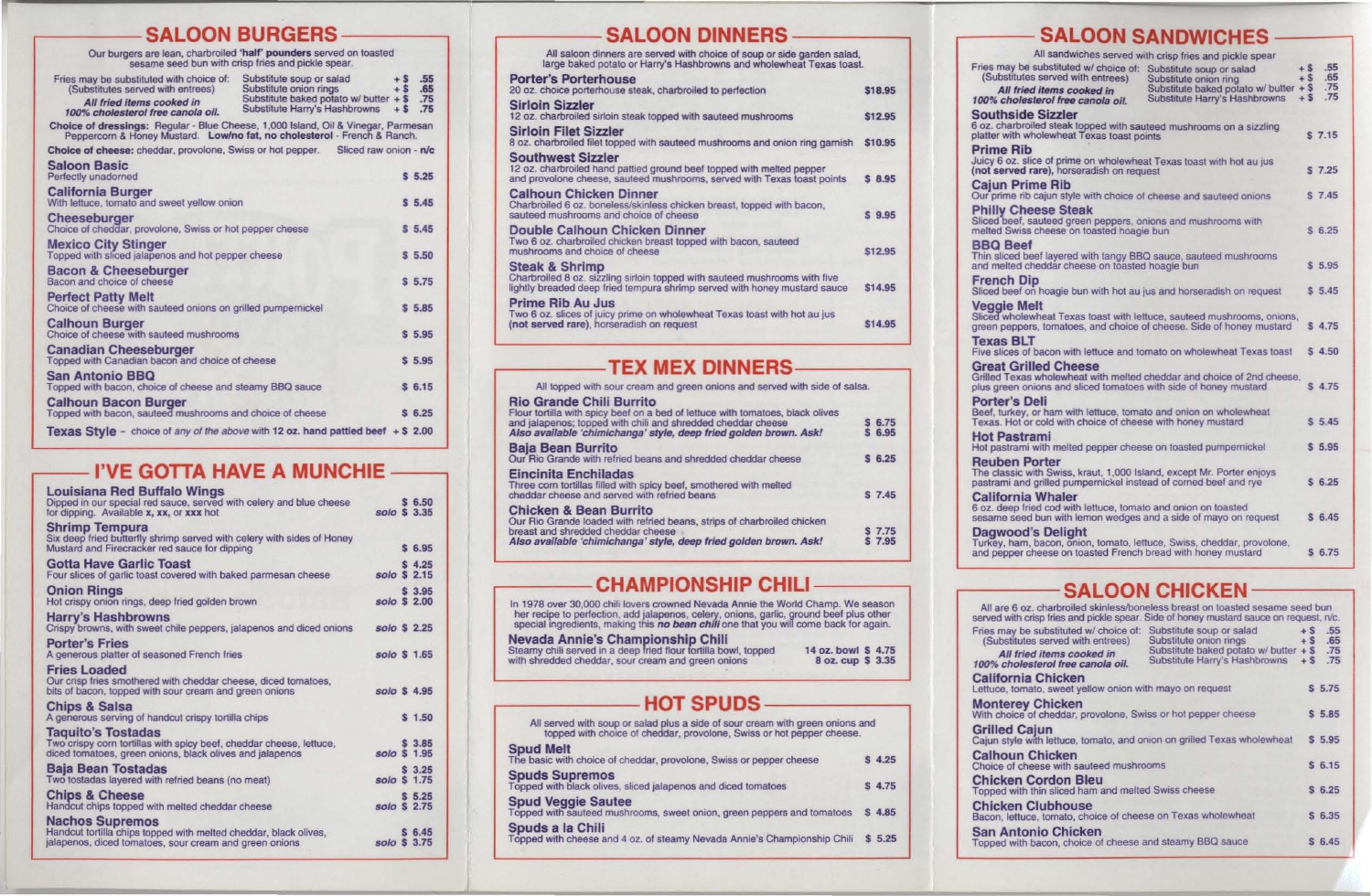## SALOON BURGERS

|                                                                                                                                                              | -UUITUUILUEILU                                                                                                                  |                                                  |
|--------------------------------------------------------------------------------------------------------------------------------------------------------------|---------------------------------------------------------------------------------------------------------------------------------|--------------------------------------------------|
| Our burgers are lean, charbroiled 'half' pounders served on toasted<br>sesame seed bun with crisp fries and pickle spear.                                    |                                                                                                                                 |                                                  |
| Fries may be substituted with choice of:<br>(Substitutes served with entrees)<br>All fried items cooked in<br>100% cholesterol free canola oil.              | Substitute soup or salad<br>Substitute onion rings<br>Substitute baked potato w/ butter $+$ \$<br>Substitute Harry's Hashbrowns | $+$ S<br>.55<br>.65<br>$+$ \$<br>.75<br>$+5$ .75 |
| Choice of dressings: Regular - Blue Cheese, 1,000 Island, Oil & Vinegar, Parmesan<br>Peppercom & Honey Mustard. Low/no fat, no cholesterol - French & Ranch. |                                                                                                                                 |                                                  |
| <b>Choice of cheese:</b> cheddar, provolone, Swiss or hot pepper. Sliced raw onion - n/c                                                                     |                                                                                                                                 |                                                  |
| <b>Saloon Basic</b><br>Perfectly unadorned                                                                                                                   |                                                                                                                                 | \$5.25                                           |
| <b>California Burger</b><br>With lettuce, tomato and sweet yellow onion                                                                                      |                                                                                                                                 | \$5.45                                           |
| Cheeseburger<br>Choice of cheddar, provolone, Swiss or hot pepper cheese                                                                                     |                                                                                                                                 | \$5.45                                           |
| <b>Mexico City Stinger</b><br>Topped with sliced jalapenos and hot pepper cheese                                                                             |                                                                                                                                 | \$5.50                                           |
| Bacon & Cheeseburger<br>Bacon and choice of cheese                                                                                                           |                                                                                                                                 | \$5.75                                           |
| <b>Perfect Patty Melt</b><br>Choice of cheese with sauteed onions on grilled pumpernickel                                                                    |                                                                                                                                 | \$5.85                                           |
| <b>Calhoun Burger</b><br>Choice of cheese with sauteed mushrooms                                                                                             |                                                                                                                                 | \$5.95                                           |
| <b>Canadian Cheeseburger</b><br>Topped with Canadian bacon and choice of cheese                                                                              |                                                                                                                                 | \$5.95                                           |
| <b>San Antonio BBQ</b><br>Topped with bacon, choice of cheese and steamy BBQ sauce                                                                           |                                                                                                                                 | \$6.15                                           |
| <b>Calhoun Bacon Burger</b><br>Topped with bacon, sauteed mushrooms and choice of cheese                                                                     |                                                                                                                                 | \$6.25                                           |
| Texas Style - choice of any of the above with 12 oz. hand pattied beef $+$ \$ 2.00                                                                           |                                                                                                                                 |                                                  |

## I'VE GOTTA HAVE A MUNCHIE -

| <b>Louisiana Red Buffalo Wings</b><br>Dipped in our special red sauce, served with celery and blue cheese<br>for dipping. Available x, xx, or xxx hot        | solo \$ 3.35 | \$6.50 |  |
|--------------------------------------------------------------------------------------------------------------------------------------------------------------|--------------|--------|--|
| <b>Shrimp Tempura</b><br>Six deep fried butterfly shrimp served with celery with sides of Honey<br>Mustard and Firecracker red sauce for dipping             |              | \$6.95 |  |
| <b>Gotta Have Garlic Toast</b><br>Four slices of garlic toast covered with baked parmesan cheese                                                             | solo \$ 2.15 | \$4.25 |  |
| <b>Onion Rings</b><br>Hot crispy onion rings, deep fried golden brown                                                                                        | solo \$ 2.00 | \$3.95 |  |
| <b>Harry's Hashbrowns</b><br>Crispy browns, with sweet chile peppers, jalapenos and diced onions                                                             | solo \$ 2.25 |        |  |
| <b>Porter's Fries</b><br>A generous platter of seasoned French fries                                                                                         | solo \$ 1.65 |        |  |
| <b>Fries Loaded</b><br>Our crisp fries smothered with cheddar cheese, diced tomatoes,<br>bits of bacon, topped with sour cream and green onions              | solo \$4.95  |        |  |
| <b>Chips &amp; Salsa</b><br>A generous serving of handcut crispy tortilla chips                                                                              |              | \$1.50 |  |
| <b>Taquito's Tostadas</b><br>Two crispy corn tortillas with spicy beef, cheddar cheese, lettuce,<br>diced tomatoes, green onions, black olives and jalapenos | solo \$ 1.95 | \$3.85 |  |
| Baja Bean Tostadas<br>Two tostadas layered with refried beans (no meat)                                                                                      | solo \$ 1.75 | \$3.25 |  |
| <b>Chips &amp; Cheese</b><br>Handcut chips topped with melted cheddar cheese                                                                                 | solo \$ 2.75 | \$5.25 |  |
| <b>Nachos Supremos</b><br>Handcut tortilla chips topped with melted cheddar, black olives,<br>jalapenos, diced tomatoes, sour cream and green onions         | solo \$ 3.75 | \$6.45 |  |
|                                                                                                                                                              |              |        |  |

## **SALOON DINNERS**

| All saloon dinners are served with choice of soup or side garden salad,<br>large baked potato or Harry's Hashbrowns and wholewheat Texas toast.                                      |         |
|--------------------------------------------------------------------------------------------------------------------------------------------------------------------------------------|---------|
| <b>Porter's Porterhouse</b><br>20 oz. choice porterhouse steak, charbroiled to perfection                                                                                            | \$18.95 |
| <b>Sirloin Sizzler</b><br>12 oz. charbroiled sirloin steak topped with sauteed mushrooms                                                                                             | \$12.95 |
| <b>Sirloin Filet Sizzler</b><br>8 oz. charbroiled filet topped with sauteed mushrooms and onion ring garnish                                                                         | \$10.95 |
| <b>Southwest Sizzler</b><br>12 oz. charbroiled hand pattied ground beef topped with melted pepper<br>and provolone cheese, sauteed mushrooms, served with Texas toast points         | \$8.95  |
| <b>Calhoun Chicken Dinner</b><br>Charbroiled 6 oz. boneless/skinless chicken breast, topped with bacon,<br>sauteed mushrooms and choice of cheese                                    | \$9.95  |
| <b>Double Calhoun Chicken Dinner</b><br>Two 6 oz. charbroiled chicken breast topped with bacon, sauteed<br>mushrooms and choice of cheese                                            | \$12.95 |
| <b>Steak &amp; Shrimp</b><br>Charbroiled 8 oz. sizzling sirloin topped with sauteed mushrooms with five<br>lightly breaded deep fried tempura shrimp served with honey mustard sauce | \$14.95 |
| Prime Rib Au Jus<br>Two 6 oz. slices of juicy prime on wholewheat Texas toast with hot au jus<br>(not served rare), horseradish on request                                           | \$14.95 |

#### **I EX MEX DINNERS**

| All topped with sour cream and green onions and served with side of salsa.                                                                                                                                                                    |                    |
|-----------------------------------------------------------------------------------------------------------------------------------------------------------------------------------------------------------------------------------------------|--------------------|
| Rio Grande Chili Burrito<br>Four tortilla with spicy beef on a bed of lettuce with tomatoes, black olives<br>ind jalapenos; topped with chili and shredded cheddar cheese<br>Iso available 'chimichanga' style, deep fried golden brown. Ask! | $$6.75$<br>$$6.95$ |
| <b>Baja Bean Burrito</b><br>Our Rio Grande with refried beans and shredded cheddar cheese                                                                                                                                                     | \$6.25             |
| Eincinita Enchiladas<br>Three corn tortillas filled with spicy beef, smothered with melted<br>heddar cheese and served with refried beans                                                                                                     | \$7.45             |
| Chicken & Bean Burrito<br>Our Rio Grande loaded with refried beans, strips of charbroiled chicken<br>reast and shredded cheddar cheese<br>Mso available 'chimichanga' style, deep fried golden brown. Ask!                                    | S 7.75<br>S 7.95   |
|                                                                                                                                                                                                                                               |                    |

## **CHAMPIONSHIP CHILI**

In 1978 over 30,000 chili lovers crowned Nevada Annie the World Champ. We season<br>her recipe to perfection, add jalapenos, celery, onions, garlic, ground beef plus other<br>special ingredients, making this *no bean chili* one

| Nevada Annie's Championship Chili                               |                    |
|-----------------------------------------------------------------|--------------------|
| Steamy chili served in a deep fried flour tortilla bowl, topped | 14 oz. bowl \$4.75 |
| with shredded cheddar, sour cream and green onions              | 8 oz. cup \$ 3.35  |

## **HOT SPUDS**

| All served with soup or salad plus a side of sour cream with green onions and<br>topped with choice of cheddar, provolone, Swiss or hot pepper cheese. |        |
|--------------------------------------------------------------------------------------------------------------------------------------------------------|--------|
| <b>Spud Melt</b><br>The basic with choice of cheddar, provolone, Swiss or pepper cheese                                                                | \$4.25 |
| <b>Spuds Supremos</b><br>Topped with black olives, sliced jalapenos and diced tomatoes                                                                 | \$4.75 |
| <b>Spud Veggie Sautee</b><br>Topped with sauteed mushrooms, sweet onion, green peppers and tomatoes                                                    | \$4.85 |
| Spuds a la Chili<br>Topped with cheese and 4 oz. of steamy Nevada Annie's Championship Chili                                                           | \$5.25 |

Fries may<br>(Substit  $All$ 100% cho

**Souths** 6 oz. char platter with

**Prime F** Juicy 6 oz<br>(not serve

Cajun F<br>Our prime **Philly C**<br>Sliced bee

melted Sv **BBQ Be** Thin slice and melte

French Sliced bee

Veggie<br>Sliced who green pep

**Texas** I **Five slices Great C** 

**Grilled Te** plus green Porter's Beef, turk

Texas. Ho **Hot Pas** Hot pastra

Reuber The class pastrami

Californ 6 oz. deep sesame s

Dagwood<br>Turkey, ha

All are 6 served wit Fries may (Substit

 $All$ 100% cho Californ

Lettuce, to **Monter** 

With choic Grilled Cajun styl

Calhou Choice of

**Chicker** Topped w

**Chicker** Bacon, let

> San An Topped w

## **SALOON SANDWICHES**

|                                                                                                                          | All sandwiches served with crisp fries and pickle spear                                                                        |                         |                          |  |
|--------------------------------------------------------------------------------------------------------------------------|--------------------------------------------------------------------------------------------------------------------------------|-------------------------|--------------------------|--|
| be substituted w/ choice of:<br>utes served with entrees)<br>ried items cooked in<br>plesterol free canola oil.          | Substitute soup or salad<br>Substitute onion ring<br>Substitute baked potato w/ butter $+$ \$<br>Substitute Harry's Hashbrowns | $+ S$<br>$+$ S<br>$+ S$ | .55<br>.65<br>.75<br>.75 |  |
| ide Sizzler<br>h wholewheat Texas toast points                                                                           | broiled steak topped with sauteed mushrooms on a sizzling                                                                      |                         | $S$ 7.15                 |  |
| ₹ib                                                                                                                      | slice of prime on wholewheat Texas toast with hot au jus                                                                       |                         |                          |  |
| ed rare), horseradish on request<br>Prime Rib                                                                            |                                                                                                                                |                         | $S$ 7.25                 |  |
| heese Steak                                                                                                              | rib cajun style with choice of cheese and sauteed onions                                                                       |                         | S 7.45                   |  |
| ef, sauteed green peppers, onions and mushrooms with<br>viss cheese on toasted hoagie bun                                |                                                                                                                                |                         | \$6.25                   |  |
| eef<br>d cheddar cheese on toasted hoagie bun                                                                            | d beef layered with tangy BBQ sauce, sauteed mushrooms                                                                         |                         | \$5.95                   |  |
| Dip                                                                                                                      | ef on hoagie bun with hot au jus and horseradish on request                                                                    |                         | \$5.45                   |  |
| <b>Melt</b>                                                                                                              | olewheat Texas toast with lettuce, sauteed mushrooms, onions,<br>opers, tomatoes, and choice of cheese. Side of honey mustard  |                         | \$4.75                   |  |
| 3LT                                                                                                                      | s of bacon with lettuce and tomato on wholewheat Texas toast                                                                   |                         | \$4.50                   |  |
| <b>Strilled Cheese</b><br>n onions and sliced tomatoes with side of honey mustard                                        | xas wholewheat with melted cheddar and choice of 2nd cheese.                                                                   |                         | \$4.75                   |  |
| s Deli<br>ey, or ham with lettuce, tomato and onion on wholewheat<br>of or cold with choice of cheese with honey mustard |                                                                                                                                |                         | \$5.45                   |  |
| strami<br>ami with melted pepper cheese on toasted pumpernickel                                                          |                                                                                                                                |                         | \$5.95                   |  |
| Porter<br>and grilled pumpernickel instead of corned beef and rye                                                        | ic with Swiss, kraut, 1,000 Island, except Mr. Porter enjoys                                                                   |                         | \$6.25                   |  |
| hia Whaler<br>o fried cod with lettuce, tomato and onion on toasted                                                      | eed bun with lemon wedges and a side of mayo on request                                                                        |                         | \$6.45                   |  |
| od's Delight<br>er cheese on toasted French bread with honey mustard                                                     | am, bacon, onion, tomato, lettuce, Swiss, cheddar, provolone,                                                                  |                         | \$6.75                   |  |

## **SALOON CHICKEN-**

|                                                                                    | i oz. charbroiled skinless/boneless breast on toasted sesame seed bun<br>h crisp fries and pickle spear. Side of honey mustard sauce on request, n/c. |                 |                   |
|------------------------------------------------------------------------------------|-------------------------------------------------------------------------------------------------------------------------------------------------------|-----------------|-------------------|
| be substituted w/ choice of: Substitute soup or salad<br>utes served with entrees) | Substitute onion rings<br>Substitute baked potato w/ butter $+$ \$                                                                                    | $+$ \$<br>$+$ S | .55<br>.65<br>.75 |
| fried items cooked in<br>plesterol free canola oil.                                | Substitute Harry's Hashbrowns + \$                                                                                                                    |                 | .75               |
| hia Chicken<br>omato, sweet yellow onion with mayo on request                      |                                                                                                                                                       |                 | \$5.75            |
| ey Chicken<br>ce of cheddar, provolone, Swiss or hot pepper cheese                 |                                                                                                                                                       |                 | \$5.85            |
| Cajun                                                                              | e with lettuce, tomato, and onion on grilled Texas wholewheat                                                                                         |                 | \$5.95            |
| n Chicken<br>cheese with sauteed mushrooms                                         |                                                                                                                                                       |                 | \$6.15            |
| n Cordon Bleu<br>ith thin sliced ham and melted Swiss cheese                       |                                                                                                                                                       |                 | \$6.25            |
| n Clubhouse<br>tuce, tomato, choice of cheese on Texas wholewheat                  |                                                                                                                                                       |                 | \$6.35            |
| tonio Chicken<br>ith bacon, choice of cheese and steamy BBQ sauce                  |                                                                                                                                                       |                 | \$6.45            |
|                                                                                    |                                                                                                                                                       |                 |                   |